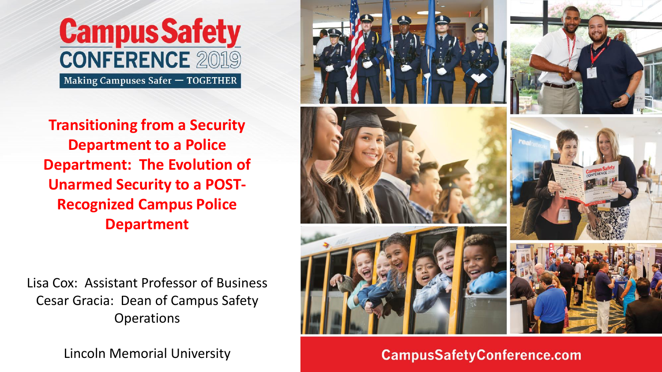

**Transitioning from a Security Department to a Police Department: The Evolution of Unarmed Security to a POST-Recognized Campus Police Department**

Lisa Cox: Assistant Professor of Business Cesar Gracia: Dean of Campus Safety Operations

Lincoln Memorial University



**CampusSafetyConference.com**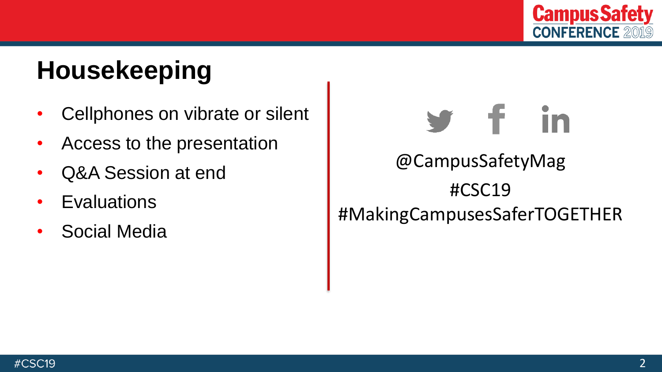

# **Housekeeping**

- Cellphones on vibrate or silent
- Access to the presentation
- Q&A Session at end
- Evaluations
- Social Media

# @CampusSafetyMag #CSC19 #MakingCampusesSaferTOGETHER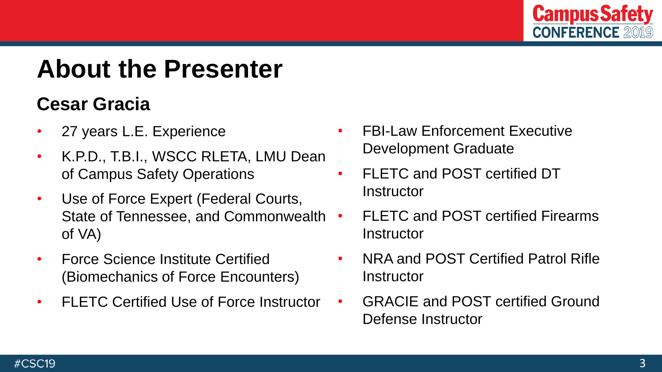

### **About the Presenter**

#### **Cesar Gracia**

- 27 years L.E. Experience
- K.P.D., T.B.I., WSCC RLETA, LMU Dean of Campus Safety Operations
- Use of Force Expert (Federal Courts, State of Tennessee, and Commonwealth of VA)
- Force Science Institute Certified (Biomechanics of Force Encounters)
- FLETC Certified Use of Force Instructor
- FBI-Law Enforcement Executive Development Graduate
- FLETC and POST certified DT **Instructor**
- FLETC and POST certified Firearms **Instructor**
- NRA and POST Certified Patrol Rifle Instructor
- GRACIE and POST certified Ground Defense Instructor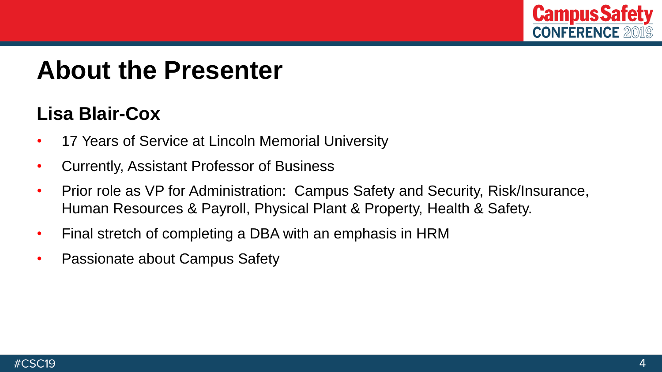

#### **About the Presenter**

#### **Lisa Blair-Cox**

- 17 Years of Service at Lincoln Memorial University
- Currently, Assistant Professor of Business
- Prior role as VP for Administration: Campus Safety and Security, Risk/Insurance, Human Resources & Payroll, Physical Plant & Property, Health & Safety.
- Final stretch of completing a DBA with an emphasis in HRM
- Passionate about Campus Safety

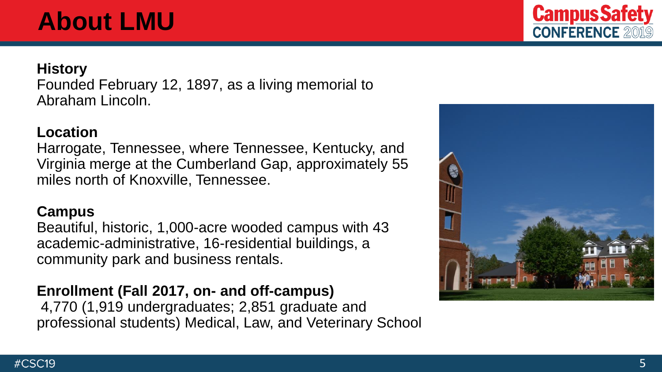# **About LMU**

#### **History**

Founded February 12, 1897, as a living memorial to Abraham Lincoln.

#### **Location**

Harrogate, Tennessee, where Tennessee, Kentucky, and Virginia merge at the Cumberland Gap, approximately 55 miles north of Knoxville, Tennessee.

#### **Campus**

Beautiful, historic, 1,000-acre wooded campus with 43 academic-administrative, 16-residential buildings, a community park and business rentals.

#### **Enrollment (Fall 2017, on- and off-campus)**

4,770 (1,919 undergraduates; 2,851 graduate and professional students) Medical, Law, and Veterinary School



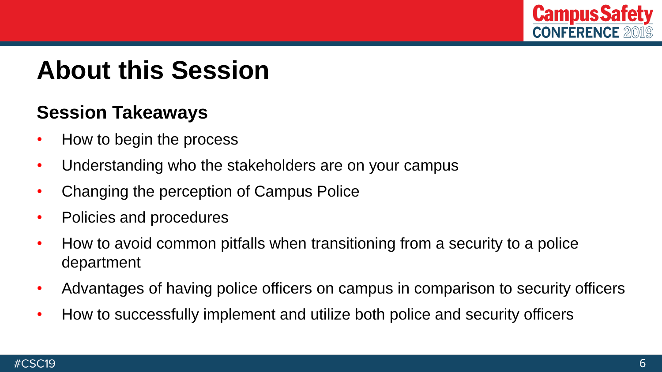

### **About this Session**

#### **Session Takeaways**

- How to begin the process
- Understanding who the stakeholders are on your campus
- Changing the perception of Campus Police
- Policies and procedures
- How to avoid common pitfalls when transitioning from a security to a police department
- Advantages of having police officers on campus in comparison to security officers
- How to successfully implement and utilize both police and security officers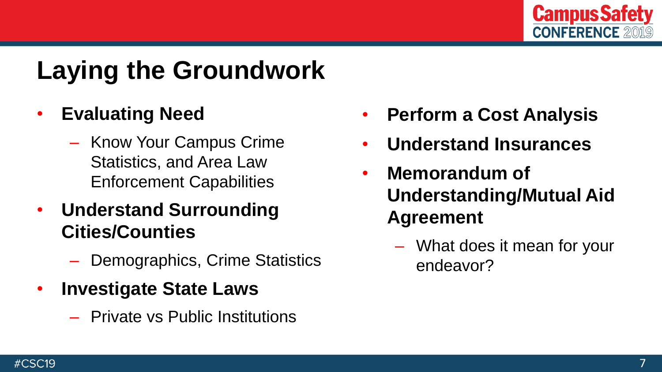

# **Laying the Groundwork**

#### • **Evaluating Need**

- Know Your Campus Crime Statistics, and Area Law Enforcement Capabilities
- **Understand Surrounding Cities/Counties**
	- Demographics, Crime Statistics
- **Investigate State Laws**
	- Private vs Public Institutions
- **Perform a Cost Analysis**
- **Understand Insurances**
- **Memorandum of Understanding/Mutual Aid Agreement**
	- What does it mean for your endeavor?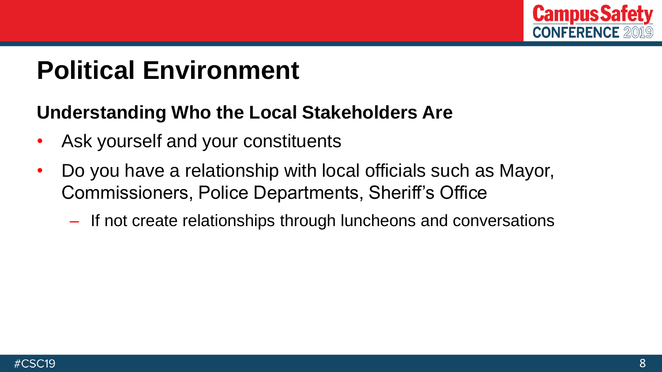

# **Political Environment**

#### **Understanding Who the Local Stakeholders Are**

- Ask yourself and your constituents
- Do you have a relationship with local officials such as Mayor, Commissioners, Police Departments, Sheriff's Office
	- If not create relationships through luncheons and conversations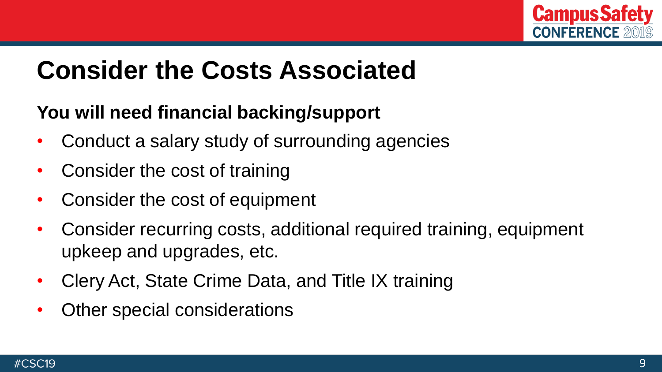

### **Consider the Costs Associated**

#### **You will need financial backing/support**

- Conduct a salary study of surrounding agencies
- Consider the cost of training
- Consider the cost of equipment
- Consider recurring costs, additional required training, equipment upkeep and upgrades, etc.
- Clery Act, State Crime Data, and Title IX training
- Other special considerations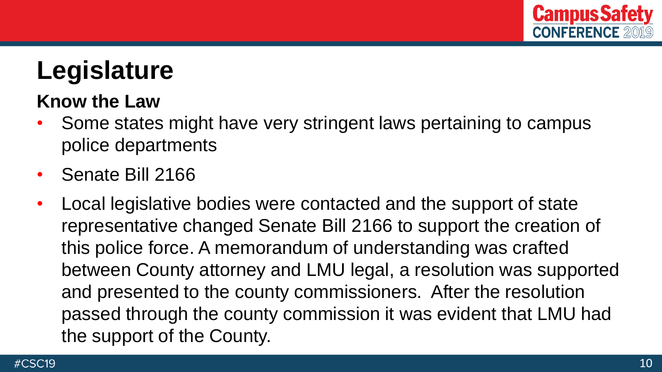

# **Legislature**

#### **Know the Law**

- Some states might have very stringent laws pertaining to campus police departments
- Senate Bill 2166
- Local legislative bodies were contacted and the support of state representative changed Senate Bill 2166 to support the creation of this police force. A memorandum of understanding was crafted between County attorney and LMU legal, a resolution was supported and presented to the county commissioners. After the resolution passed through the county commission it was evident that LMU had the support of the County.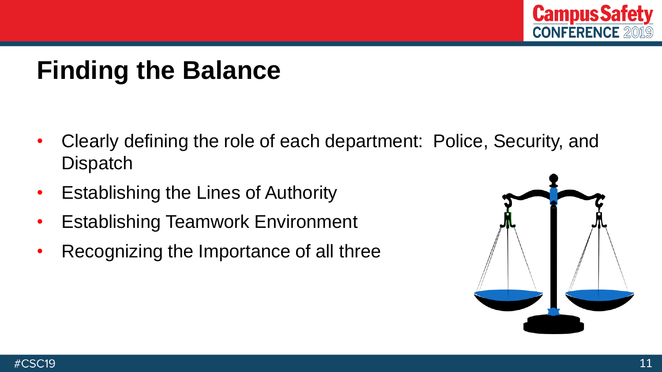

# **Finding the Balance**

- Clearly defining the role of each department: Police, Security, and **Dispatch**
- Establishing the Lines of Authority
- Establishing Teamwork Environment
- Recognizing the Importance of all three

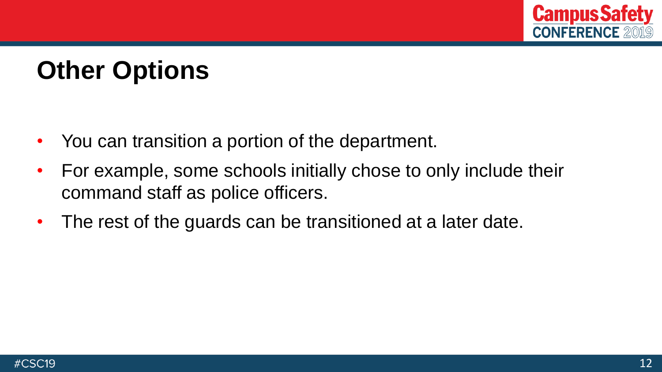

# **Other Options**

- You can transition a portion of the department.
- For example, some schools initially chose to only include their command staff as police officers.
- The rest of the guards can be transitioned at a later date.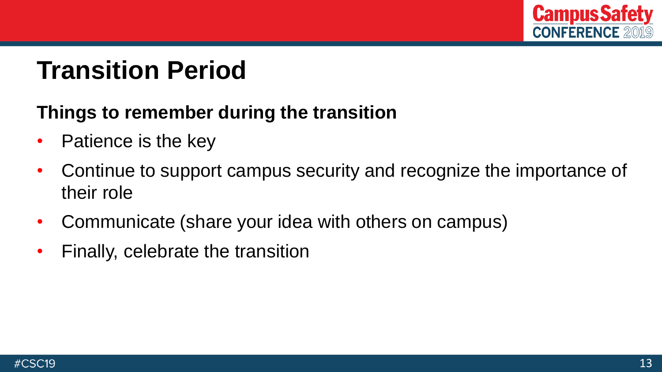

### **Transition Period**

#### **Things to remember during the transition**

- Patience is the key
- Continue to support campus security and recognize the importance of their role
- Communicate (share your idea with others on campus)
- Finally, celebrate the transition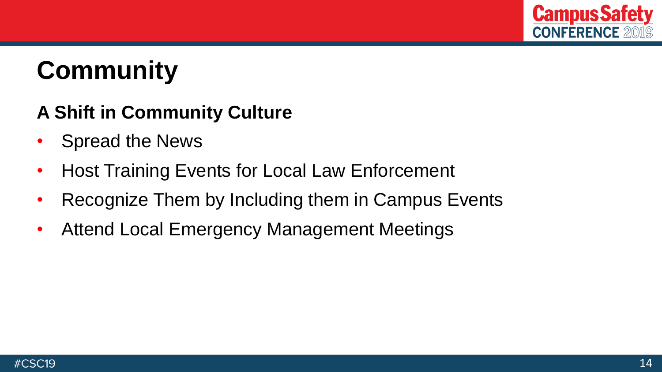

# **Community**

#### **A Shift in Community Culture**

- Spread the News
- Host Training Events for Local Law Enforcement
- Recognize Them by Including them in Campus Events
- Attend Local Emergency Management Meetings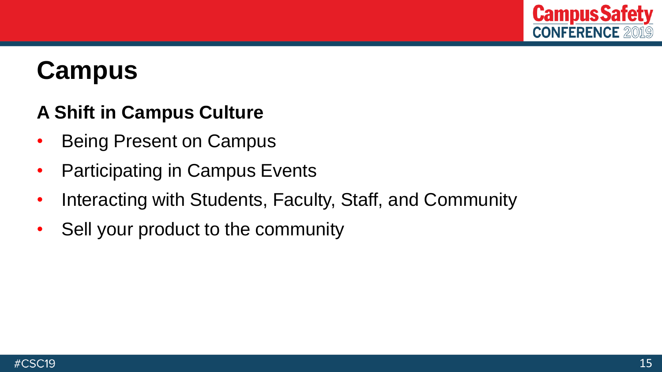

### **Campus**

#### **A Shift in Campus Culture**

- Being Present on Campus
- Participating in Campus Events
- Interacting with Students, Faculty, Staff, and Community
- Sell your product to the community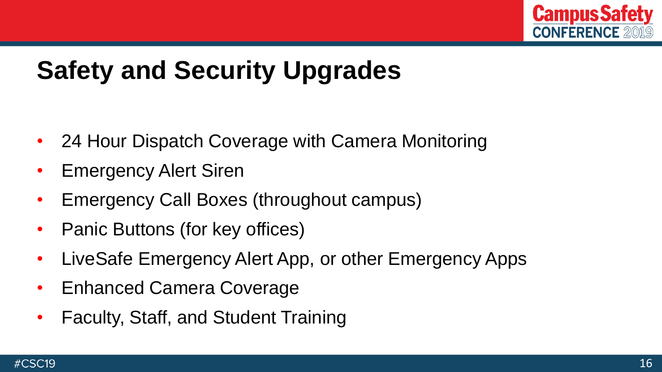

# **Safety and Security Upgrades**

- 24 Hour Dispatch Coverage with Camera Monitoring
- **Emergency Alert Siren**
- Emergency Call Boxes (throughout campus)
- Panic Buttons (for key offices)
- LiveSafe Emergency Alert App, or other Emergency Apps
- Enhanced Camera Coverage
- Faculty, Staff, and Student Training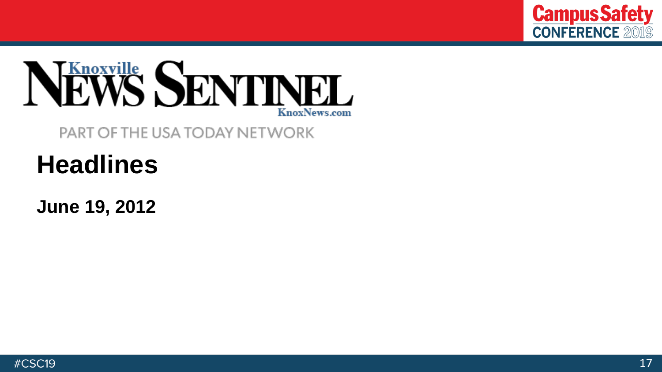



#### PART OF THE USA TODAY NETWORK

# **Headlines**

**June 19, 2012**

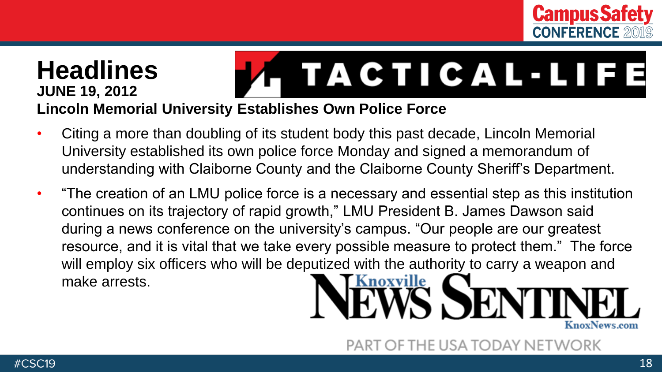

#### **Headlines** . TACTICAL-LIFE **JUNE 19, 2012 Lincoln Memorial University Establishes Own Police Force**

- Citing a more than doubling of its student body this past decade, Lincoln Memorial University established its own police force Monday and signed a memorandum of understanding with Claiborne County and the Claiborne County Sheriff's Department.
- "The creation of an LMU police force is a necessary and essential step as this institution continues on its trajectory of rapid growth," LMU President B. James Dawson said during a news conference on the university's campus. "Our people are our greatest resource, and it is vital that we take every possible measure to protect them." The force will employ six officers who will be deputized with the authority to carry a weapon and make arrests.



PART OF THE USA TODAY NETWORK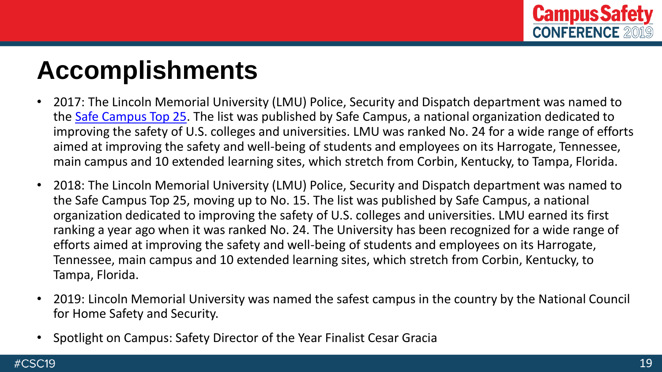

### **Accomplishments**

- 2017: The Lincoln Memorial University (LMU) Police, Security and Dispatch department was named to the [Safe Campus Top 25](https://safecampussummit.org/2018-las-vegas-conference/top-25-university-departments/). The list was published by Safe Campus, a national organization dedicated to improving the safety of U.S. colleges and universities. LMU was ranked No. 24 for a wide range of efforts aimed at improving the safety and well-being of students and employees on its Harrogate, Tennessee, main campus and 10 extended learning sites, which stretch from Corbin, Kentucky, to Tampa, Florida.
- 2018: The Lincoln Memorial University (LMU) Police, Security and Dispatch department was named to the Safe Campus Top 25, moving up to No. 15. The list was published by Safe Campus, a national organization dedicated to improving the safety of U.S. colleges and universities. LMU earned its first ranking a year ago when it was ranked No. 24. The University has been recognized for a wide range of efforts aimed at improving the safety and well-being of students and employees on its Harrogate, Tennessee, main campus and 10 extended learning sites, which stretch from Corbin, Kentucky, to Tampa, Florida.
- 2019: Lincoln Memorial University was named the safest campus in the country by the National Council for Home Safety and Security.
- Spotlight on Campus: Safety Director of the Year Finalist Cesar Gracia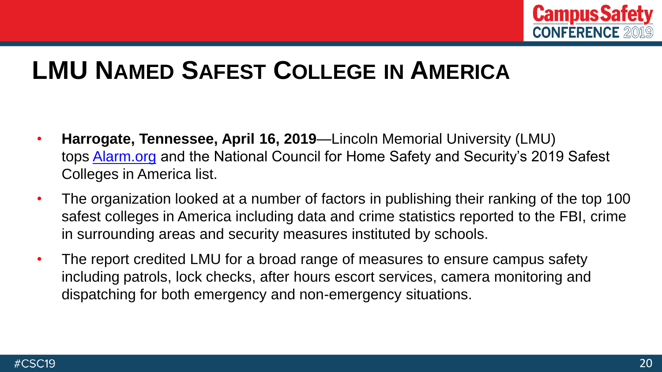

#### **LMU NAMED SAFEST COLLEGE IN AMERICA**

- **Harrogate, Tennessee, April 16, 2019**—Lincoln Memorial University (LMU) tops [Alarm.org](http://www.alarm.org/) and the National Council for Home Safety and Security's 2019 Safest Colleges in America list.
- The organization looked at a number of factors in publishing their ranking of the top 100 safest colleges in America including data and crime statistics reported to the FBI, crime in surrounding areas and security measures instituted by schools.
- The report credited LMU for a broad range of measures to ensure campus safety including patrols, lock checks, after hours escort services, camera monitoring and dispatching for both emergency and non-emergency situations.

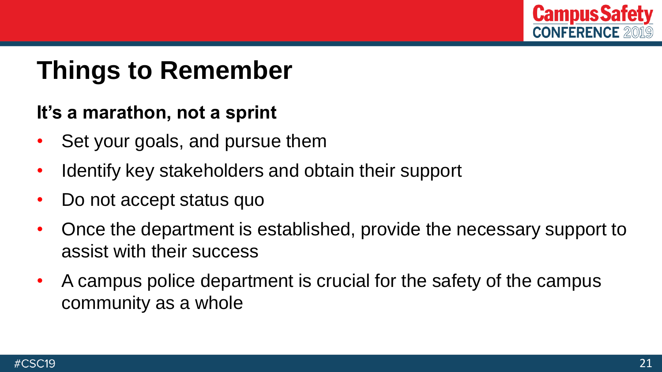

### **Things to Remember**

#### **It's a marathon, not a sprint**

- Set your goals, and pursue them
- Identify key stakeholders and obtain their support
- Do not accept status quo
- Once the department is established, provide the necessary support to assist with their success
- A campus police department is crucial for the safety of the campus community as a whole